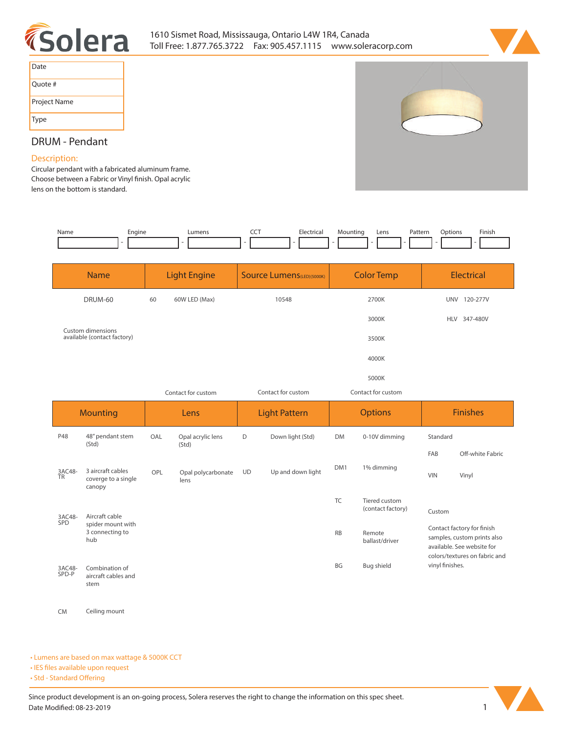



| Date         |  |
|--------------|--|
| Quote #      |  |
| Project Name |  |
| Type         |  |



# **DRUM - Pendant**

### **Description:**

**Circular pendant with a fabricated aluminum frame. Choose between a Fabric or Vinyl finish. Opal acrylic lens on the bottom is standard.** 

| Name | Engine | Lumens | ---<br>$\widetilde{\phantom{a}}$ | Electrica | Mountina<br>____ | Lens<br>___ | Patterr<br>. | <b>Options</b> | Finish |
|------|--------|--------|----------------------------------|-----------|------------------|-------------|--------------|----------------|--------|
|      |        |        |                                  |           |                  |             |              |                |        |
|      |        |        |                                  |           |                  |             |              |                |        |

|                 | <b>Name</b>                                                   |     | <b>Light Engine</b>        |           | <b>Source Lumens</b> (LED)(5000K) |           | <b>Color Temp</b>                  | <b>Electrical</b>                                                                                                        |                  |  |  |
|-----------------|---------------------------------------------------------------|-----|----------------------------|-----------|-----------------------------------|-----------|------------------------------------|--------------------------------------------------------------------------------------------------------------------------|------------------|--|--|
|                 | DRUM-60                                                       | 60  | 60W LED (Max)              |           | 10548                             |           | 2700K                              |                                                                                                                          | UNV 120-277V     |  |  |
|                 |                                                               |     |                            |           |                                   |           | 3000K                              |                                                                                                                          | HLV 347-480V     |  |  |
|                 | Custom dimensions<br>available (contact factory)              |     | 3500K                      |           |                                   |           |                                    |                                                                                                                          |                  |  |  |
|                 |                                                               |     |                            |           |                                   |           | 4000K                              |                                                                                                                          |                  |  |  |
|                 |                                                               |     |                            |           |                                   |           | 5000K                              |                                                                                                                          |                  |  |  |
|                 |                                                               |     | Contact for custom         |           | Contact for custom                |           | Contact for custom                 |                                                                                                                          |                  |  |  |
|                 | <b>Mounting</b>                                               |     | Lens                       |           | <b>Light Pattern</b>              |           | <b>Options</b>                     | <b>Finishes</b>                                                                                                          |                  |  |  |
| P48             | 48" pendant stem<br>(Std)                                     | OAL | Opal acrylic lens<br>(Std) | D         | Down light (Std)                  | <b>DM</b> | 0-10V dimming                      |                                                                                                                          | Standard         |  |  |
|                 |                                                               |     |                            |           |                                   |           |                                    | FAB                                                                                                                      | Off-white Fabric |  |  |
| 3AC48-<br>TR    | 3 aircraft cables<br>coverge to a single<br>canopy            | OPL | Opal polycarbonate<br>lens | <b>UD</b> | Up and down light                 | DM1       | 1% dimming                         | <b>VIN</b>                                                                                                               | Vinyl            |  |  |
|                 |                                                               |     |                            |           |                                   | <b>TC</b> | Tiered custom<br>(contact factory) | Custom                                                                                                                   |                  |  |  |
| 3AC48-<br>SPD   | Aircraft cable<br>spider mount with<br>3 connecting to<br>hub |     |                            |           |                                   | RB        | Remote<br>ballast/driver           | Contact factory for finish<br>samples, custom prints also<br>available. See website for<br>colors/textures on fabric and |                  |  |  |
| 3AC48-<br>SPD-P | Combination of<br>aircraft cables and<br>stem                 |     |                            |           |                                   | BG        | Bug shield                         | vinyl finishes.                                                                                                          |                  |  |  |

**CM Ceiling mount**

#### **• Lumens are based on max wattage & 5000K CCT**

**• IES files available upon request** 

• Std - Standard Offering